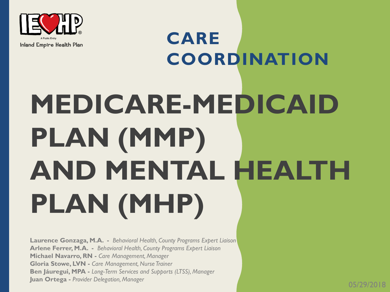

### **CARE**  Inland Empire Health Plan **COORDINATION MEDICARE-MEDICAID PLAN (MMP) AND MENTAL HEALTH PLAN (MHP)**

**Laurence Gonzaga, M.A. -** *Behavioral Health, County Programs Expert Liaison* **Arlene Ferrer, M.A. -** *Behavioral Health, County Programs Expert Liaison* **Michael Navarro, RN -** *Care Management, Manager* **Gloria Stowe, LVN -** *Care Management, Nurse Trainer* **Ben Jáuregui, MPA -** *Long-Term Services and Supports (LTSS), Manager* **Juan Ortega -** *Provider Delegation, Manager*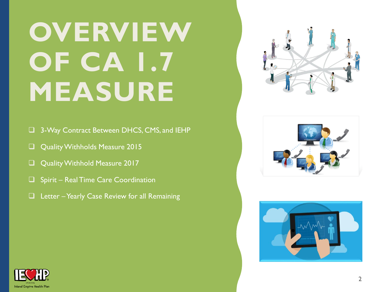### **OVERVIEW OF CA 1.7 MEASURE**

- □ 3-Way Contract Between DHCS, CMS, and IEHP
- Quality Withholds Measure 2015
- Quality Withhold Measure 2017
- $\Box$  Spirit Real Time Care Coordination
- $\Box$  Letter Yearly Case Review for all Remaining







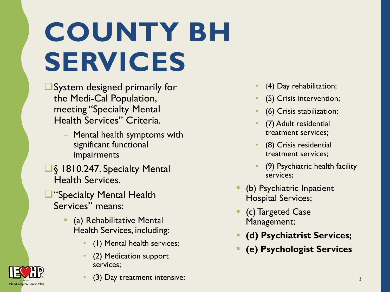## **COUNTY BH SERVICES**

- System designed primarily for the Medi-Cal Population, meeting "Specialty Mental Health Services" Criteria.
	- Mental health symptoms with significant functional impairments
- **■§ 1810.247. Specialty Mental** Health Services.
- "Specialty Mental Health Services" means:

**Inland Empire Health Plar** 

- **•** (a) Rehabilitative Mental Health Services, including:
	- (1) Mental health services;
	- (2) Medication support services;
	- (3) Day treatment intensive;
- (4) Day rehabilitation;
- (5) Crisis intervention;
- (6) Crisis stabilization;
- (7) Adult residential treatment services;
- (8) Crisis residential treatment services;
- (9) Psychiatric health facility services;
- (b) Psychiatric Inpatient Hospital Services;
- (c) Targeted Case Management;
- **(d) Psychiatrist Services;**
- **(e) Psychologist Services**

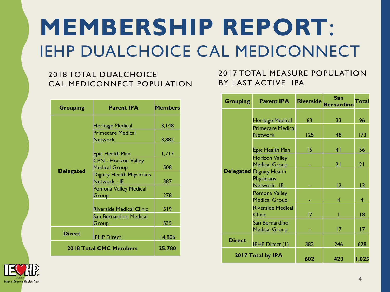#### **MEMBERSHIP REPORT**: IEHP DUALCHOICE CAL MEDICONNECT

#### 2018 TOTAL DUALCHOICE CAL MEDICONNECT POPULATION

| <b>Grouping</b>        | <b>Parent IPA</b>                                                                                                                                                                                                                                                                                            | <b>Members</b>                                             |
|------------------------|--------------------------------------------------------------------------------------------------------------------------------------------------------------------------------------------------------------------------------------------------------------------------------------------------------------|------------------------------------------------------------|
| <b>Delegated</b>       | <b>Heritage Medical</b><br><b>Primecare Medical</b><br><b>Network</b><br>Epic Health Plan<br><b>CPN - Horizon Valley</b><br><b>Medical Group</b><br><b>Dignity Health Physicians</b><br>Network - IE<br>Pomona Valley Medical<br>Group<br><b>Riverside Medical Clinic</b><br>San Bernardino Medical<br>Group | 3,148<br>3,882<br>1,717<br>508<br>387<br>278<br>519<br>535 |
| <b>Direct</b>          | <b>IEHP Direct</b>                                                                                                                                                                                                                                                                                           | 14,806                                                     |
| 2018 Total CMC Members | 25,780                                                                                                                                                                                                                                                                                                       |                                                            |

#### 2017 TOTAL MEASURE POPULATION BY LAST ACTIVE IPA

| <b>Grouping</b>   | <b>Parent IPA</b>                                          | <b>Riverside</b> | San<br><b>Bernarding</b> | Total |
|-------------------|------------------------------------------------------------|------------------|--------------------------|-------|
|                   | <b>Heritage Medical</b>                                    | 63               | 33                       | 96    |
|                   | <b>Primecare Medical</b><br><b>Network</b>                 | 125              | 48                       | 173   |
|                   | Epic Health Plan                                           | 15               | 4 <sub>1</sub>           | 56    |
|                   | <b>Horizon Valley</b><br><b>Medical Group</b>              |                  | 21                       | 21    |
| <b>Delegated</b>  | <b>Dignity Health</b><br><b>Physicians</b><br>Network - IE |                  | 12                       | 12    |
|                   | Pomona Valley<br><b>Medical Group</b>                      |                  | 4                        | 4     |
|                   | <b>Riverside Medical</b><br><b>Clinic</b>                  | 17               |                          | 8     |
|                   | San Bernardino<br><b>Medical Group</b>                     |                  | 17                       | 17    |
| <b>Direct</b>     | <b>IEHP Direct (I)</b>                                     | 382              | 246                      | 628   |
| 2017 Total by IPA |                                                            | 602              | 423                      | 1,025 |

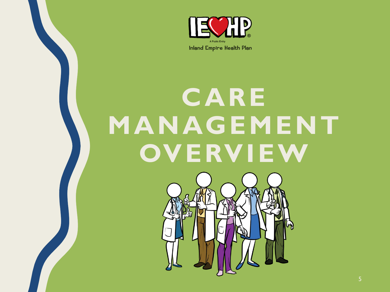

Inland Empire Health Plan

### **CARE MANAGEMENT OVERVIEW**

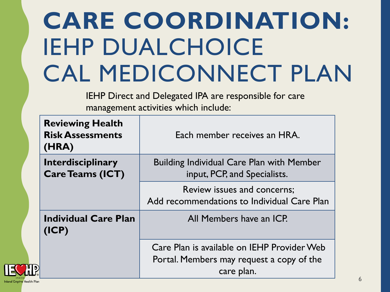### **CARE COORDINATION:**  IEHP DUALCHOICE CAL MEDICONNECT PLAN

IEHP Direct and Delegated IPA are responsible for care management activities which include:

| <b>Reviewing Health</b><br><b>Risk Assessments</b><br>(HRA) | Each member receives an HRA.                                                                           |
|-------------------------------------------------------------|--------------------------------------------------------------------------------------------------------|
| <b>Interdisciplinary</b><br><b>Care Teams (ICT)</b>         | <b>Building Individual Care Plan with Member</b><br>input, PCP, and Specialists.                       |
|                                                             | Review issues and concerns;<br>Add recommendations to Individual Care Plan                             |
| <b>Individual Care Plan</b><br>(ICP)                        | All Members have an ICP.                                                                               |
|                                                             | Care Plan is available on IEHP Provider Web<br>Portal. Members may request a copy of the<br>care plan. |

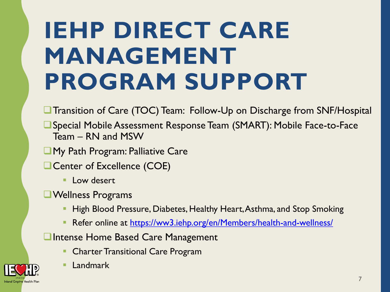### **IEHP DIRECT CARE MANAGEMENT PROGRAM SUPPORT**

- **The Transition of Care (TOC) Team: Follow-Up on Discharge from SNF/Hospital**
- Special Mobile Assessment Response Team (SMART): Mobile Face-to-Face Team – RN and MSW
- **My Path Program: Palliative Care**
- Center of Excellence (COE)
	- **Low desert**
- Wellness Programs
	- High Blood Pressure, Diabetes, Healthy Heart, Asthma, and Stop Smoking
	- Refer online at <https://ww3.iehp.org/en/Members/health-and-wellness/>
- **Q** Intense Home Based Care Management
	- **Charter Transitional Care Program**



■ Landmark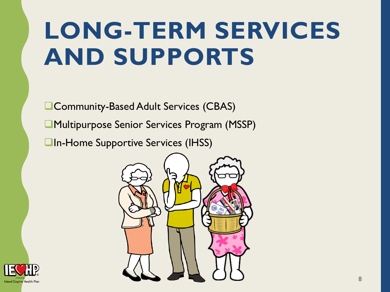### **LONG-TERM SERVICES AND SUPPORTS**

Community-Based Adult Services (CBAS) Multipurpose Senior Services Program (MSSP) **In-Home Supportive Services (IHSS)** 



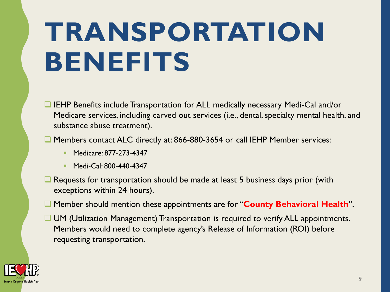### **TRANSPORTATION BENEFITS**

- **IEHP Benefits include Transportation for ALL medically necessary Medi-Cal and/or** Medicare services, including carved out services (i.e., dental, specialty mental health, and substance abuse treatment).
- Members contact ALC directly at: 866-880-3654 or call IEHP Member services:
	- Medicare: 877-273-4347
	- Medi-Cal: 800-440-4347
- $\Box$  Requests for transportation should be made at least 5 business days prior (with exceptions within 24 hours).
- Member should mention these appointments are for "**County Behavioral Health**".
- UM (Utilization Management) Transportation is required to verify ALL appointments. Members would need to complete agency's Release of Information (ROI) before requesting transportation.

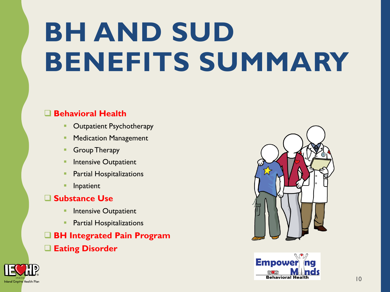## **BH AND SUD BENEFITS SUMMARY**

#### **Behavioral Health**

- **Outpatient Psychotherapy**
- **Medication Management**
- **Group Therapy**
- **Intensive Outpatient**
- **Partial Hospitalizations**
- **Inpatient**

#### **Substance Use**

- **<u>■ Intensive Outpatient</u>**
- **•** Partial Hospitalizations
- **BH Integrated Pain Program**
- **Eating Disorder**





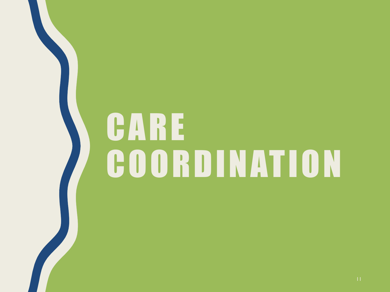# **CARE** C O O R D I N AT I O N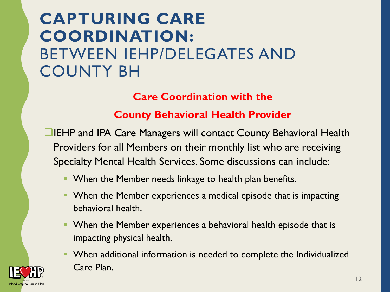#### **CAPTURING CARE COORDINATION:** BETWEEN IEHP/DELEGATES AND COUNTY BH

**Care Coordination with the**

**County Behavioral Health Provider**

IEHP and IPA Care Managers will contact County Behavioral Health Providers for all Members on their monthly list who are receiving Specialty Mental Health Services. Some discussions can include:

- **When the Member needs linkage to health plan benefits.**
- When the Member experiences a medical episode that is impacting behavioral health.
- **When the Member experiences a behavioral health episode that is** impacting physical health.
- **When additional information is needed to complete the Individualized** Care Plan.

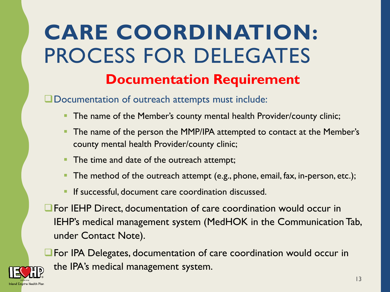#### **Documentation Requirement CARE COORDINATION:**  PROCESS FOR DELEGATES

Documentation of outreach attempts must include:

- The name of the Member's county mental health Provider/county clinic;
- The name of the person the MMP/IPA attempted to contact at the Member's county mental health Provider/county clinic;
- The time and date of the outreach attempt;
- The method of the outreach attempt (e.g., phone, email, fax, in-person, etc.);
- If successful, document care coordination discussed.
- For IEHP Direct, documentation of care coordination would occur in IEHP's medical management system (MedHOK in the Communication Tab, under Contact Note).

**The IPA Delegates, documentation of care coordination would occur in** the IPA's medical management system.

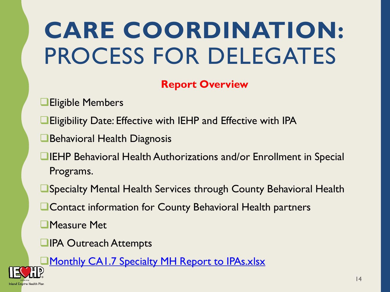### **CARE COORDINATION:**  PROCESS FOR DELEGATES

#### **Report Overview**

- **Eligible Members**
- Eligibility Date: Effective with IEHP and Effective with IPA
- Behavioral Health Diagnosis
- **IEHP Behavioral Health Authorizations and/or Enrollment in Special** Programs.
- Specialty Mental Health Services through County Behavioral Health
- **Q Contact information for County Behavioral Health partners**
- Measure Met
- **QIPA Outreach Attempts**

**[Monthly CA1.7 Specialty MH Report to IPAs.xlsx](DRAFT Monthly CA1.7 Specialty MH Report to IPAs_De_Identified.xlsx)** 

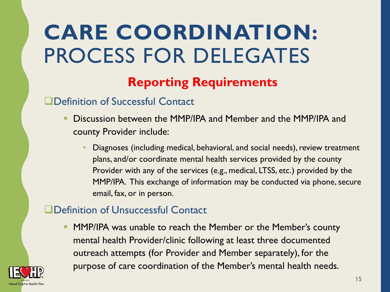### **CARE COORDINATION:**  PROCESS FOR DELEGATES

#### **Reporting Requirements**

#### Definition of Successful Contact

- **Discussion between the MMP/IPA and Member and the MMP/IPA and** county Provider include:
	- Diagnoses (including medical, behavioral, and social needs), review treatment plans, and/or coordinate mental health services provided by the county Provider with any of the services (e.g., medical, LTSS, etc.) provided by the MMP/IPA. This exchange of information may be conducted via phone, secure email, fax, or in person.

#### Definition of Unsuccessful Contact

**• MMP/IPA was unable to reach the Member or the Member's county** mental health Provider/clinic following at least three documented outreach attempts (for Provider and Member separately), for the purpose of care coordination of the Member's mental health needs.

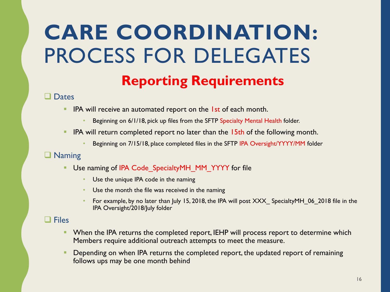#### **CARE COORDINATION:**  PROCESS FOR DELEGATES **Reporting Requirements**

#### **Q** Dates

- **EXT** IPA will receive an automated report on the 1st of each month.
	- Beginning on 6/1/18, pick up files from the SFTP Specialty Mental Health folder.
- **EXECT** IPA will return completed report no later than the  $15th$  of the following month.
	- Beginning on 7/15/18, place completed files in the SFTP IPA Oversight/YYYY/MM folder

#### **Q** Naming

- **E** Use naming of IPA Code SpecialtyMH\_MM\_YYYY for file
	- Use the unique IPA code in the naming
	- Use the month the file was received in the naming
	- For example, by no later than July 15, 2018, the IPA will post XXX SpecialtyMH 06 2018 file in the IPA Oversight/2018/July folder

#### $\Box$  Files

- **EXT** When the IPA returns the completed report, IEHP will process report to determine which Members require additional outreach attempts to meet the measure.
- Depending on when IPA returns the completed report, the updated report of remaining follows ups may be one month behind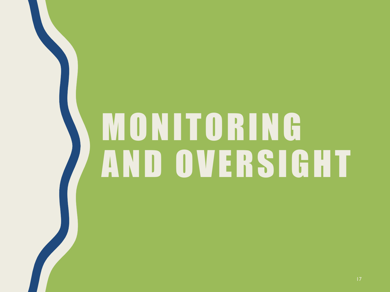# **MONITORING** AND OVERSIGHT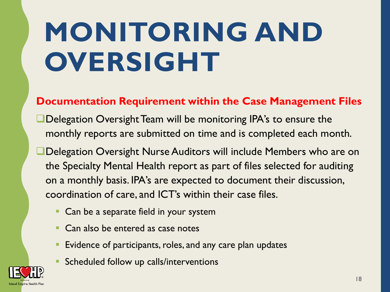## **MONITORING AND OVERSIGHT**

#### **Documentation Requirement within the Case Management Files**

- Delegation Oversight Team will be monitoring IPA's to ensure the monthly reports are submitted on time and is completed each month.
- Delegation Oversight Nurse Auditors will include Members who are on the Specialty Mental Health report as part of files selected for auditing on a monthly basis. IPA's are expected to document their discussion, coordination of care, and ICT's within their case files.
	- Can be a separate field in your system
	- Can also be entered as case notes
	- Evidence of participants, roles, and any care plan updates
	- Scheduled follow up calls/interventions